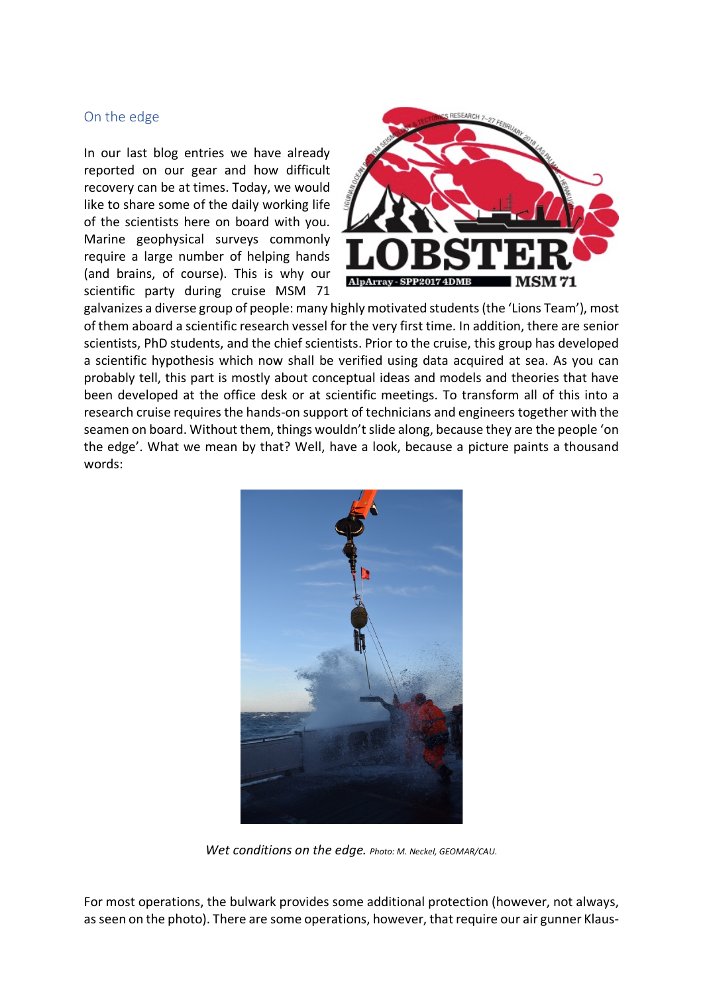## On the edge

In our last blog entries we have already reported on our gear and how difficult recovery can be at times. Today, we would like to share some of the daily working life of the scientists here on board with you. Marine geophysical surveys commonly require a large number of helping hands (and brains, of course). This is why our scientific party during cruise MSM 71



galvanizes a diverse group of people: many highly motivated students(the 'Lions Team'), most of them aboard a scientific research vessel for the very first time. In addition, there are senior scientists, PhD students, and the chief scientists. Prior to the cruise, this group has developed a scientific hypothesis which now shall be verified using data acquired at sea. As you can probably tell, this part is mostly about conceptual ideas and models and theories that have been developed at the office desk or at scientific meetings. To transform all of this into a research cruise requires the hands-on support of technicians and engineers together with the seamen on board. Without them, things wouldn't slide along, because they are the people 'on the edge'. What we mean by that? Well, have a look, because a picture paints a thousand words:



*Wet conditions on the edge. Photo: M. Neckel, GEOMAR/CAU.*

For most operations, the bulwark provides some additional protection (however, not always, as seen on the photo). There are some operations, however, that require our air gunner Klaus